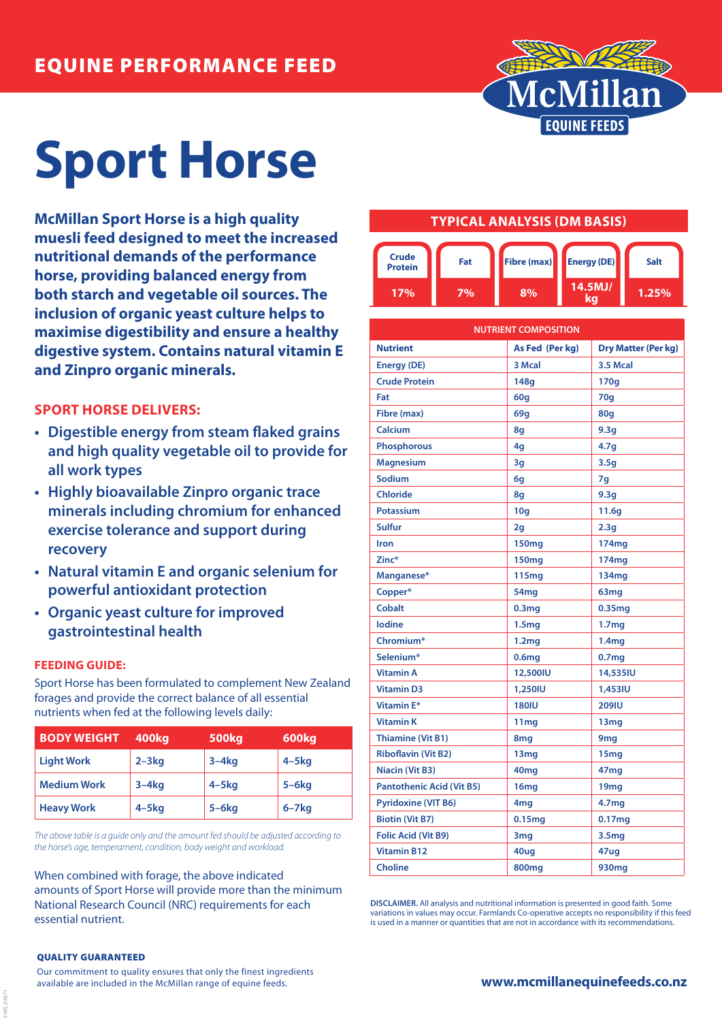

# **Sport Horse**

**McMillan Sport Horse is a high quality muesli feed designed to meet the increased nutritional demands of the performance horse, providing balanced energy from both starch and vegetable oil sources. The inclusion of organic yeast culture helps to maximise digestibility and ensure a healthy digestive system. Contains natural vitamin E and Zinpro organic minerals.**

## **SPORT HORSE DELIVERS:**

- **• Digestible energy from steam flaked grains and high quality vegetable oil to provide for all work types**
- **• Highly bioavailable Zinpro organic trace minerals including chromium for enhanced exercise tolerance and support during recovery**
- **• Natural vitamin E and organic selenium for powerful antioxidant protection**
- **• Organic yeast culture for improved gastrointestinal health**

### **FEEDING GUIDE:**

Sport Horse has been formulated to complement New Zealand forages and provide the correct balance of all essential nutrients when fed at the following levels daily:

| <b>BODY WEIGHT</b> | 400kg      | 500 <sub>kg</sub> | 600kg        |
|--------------------|------------|-------------------|--------------|
| <b>Light Work</b>  | $2 - 3kg$  | $3-4kg$           | $4 - 5$ kg   |
| <b>Medium Work</b> | $3-4kq$    | $4 - 5$ kg        | $5-6kg$      |
| <b>Heavy Work</b>  | $4 - 5$ kg | $5-6kg$           | $6 - 7$ $kg$ |

*The above table is a guide only and the amount fed should be adjusted according to the horse's age, temperament, condition, body weight and workload.*

When combined with forage, the above indicated amounts of Sport Horse will provide more than the minimum National Research Council (NRC) requirements for each essential nutrient.

## **TYPICAL ANALYSIS (DM BASIS)**



| <b>NUTRIENT COMPOSITION</b>      |                   |                            |  |
|----------------------------------|-------------------|----------------------------|--|
| <b>Nutrient</b>                  | As Fed (Per kg)   | <b>Dry Matter (Per kg)</b> |  |
| <b>Energy (DE)</b>               | 3 Mcal            | 3.5 Mcal                   |  |
| <b>Crude Protein</b>             | 148g              | 170g                       |  |
| Fat                              | 60q               | 70q                        |  |
| Fibre (max)                      | 69q               | <b>80g</b>                 |  |
| Calcium                          | 8q                | 9.3q                       |  |
| <b>Phosphorous</b>               | 4g                | 4.7 <sub>g</sub>           |  |
| <b>Magnesium</b>                 | 3g                | 3.5g                       |  |
| <b>Sodium</b>                    | 6g                | 7g                         |  |
| <b>Chloride</b>                  | 8q                | 9.3g                       |  |
| <b>Potassium</b>                 | 10q               | 11.6q                      |  |
| <b>Sulfur</b>                    | 2g                | 2.3g                       |  |
| Iron                             | 150 <sub>mg</sub> | 174 <sub>mg</sub>          |  |
| Zinc*                            | 150 <sub>mg</sub> | 174mg                      |  |
| Manganese*                       | 115mg             | 134 <sub>mg</sub>          |  |
| Copper*                          | 54 <sub>mg</sub>  | 63 <sub>mg</sub>           |  |
| <b>Cobalt</b>                    | 0.3 <sub>mg</sub> | 0.35 <sub>mg</sub>         |  |
| <b>lodine</b>                    | 1.5 <sub>mg</sub> | 1.7 <sub>mg</sub>          |  |
| Chromium*                        | 1.2 <sub>mg</sub> | 1.4 <sub>mg</sub>          |  |
| Selenium*                        | 0.6 <sub>mg</sub> | 0.7 <sub>mg</sub>          |  |
| <b>Vitamin A</b>                 | 12,500IU          | 14,535IU                   |  |
| <b>Vitamin D3</b>                | 1,250IU           | 1,453IU                    |  |
| Vitamin E*                       | <b>180IU</b>      | <b>209IU</b>               |  |
| <b>Vitamin K</b>                 | 11 <sub>mg</sub>  | 13 <sub>mg</sub>           |  |
| <b>Thiamine (Vit B1)</b>         | 8mg               | 9 <sub>mg</sub>            |  |
| <b>Riboflavin (Vit B2)</b>       | 13 <sub>mg</sub>  | 15 <sub>mg</sub>           |  |
| <b>Niacin (Vit B3)</b>           | 40 <sub>mg</sub>  | 47 <sub>mg</sub>           |  |
| <b>Pantothenic Acid (Vit B5)</b> | 16mg              | 19mg                       |  |
| <b>Pyridoxine (VIT B6)</b>       | 4mg               | 4.7mg                      |  |
| <b>Biotin (Vit B7)</b>           | 0.15mg            | 0.17mg                     |  |
| <b>Folic Acid (Vit B9)</b>       | 3 <sub>mg</sub>   | 3.5 <sub>mg</sub>          |  |
| <b>Vitamin B12</b>               | 40ug              | 47ug                       |  |
| <b>Choline</b>                   | <b>800mg</b>      | 930mg                      |  |

**DISCLAIMER.** All analysis and nutritional information is presented in good faith. Some variations in values may occur. Farmlands Co-operative accepts no responsibility if this feed is used in a manner or quantities that are not in accordance with its recommendations.

#### QUALITY GUARANTEED

FAR\_04971

Our commitment to quality ensures that only the finest ingredients available are included in the McMillan range of equine feeds.

### **www.mcmillanequinefeeds.co.nz**